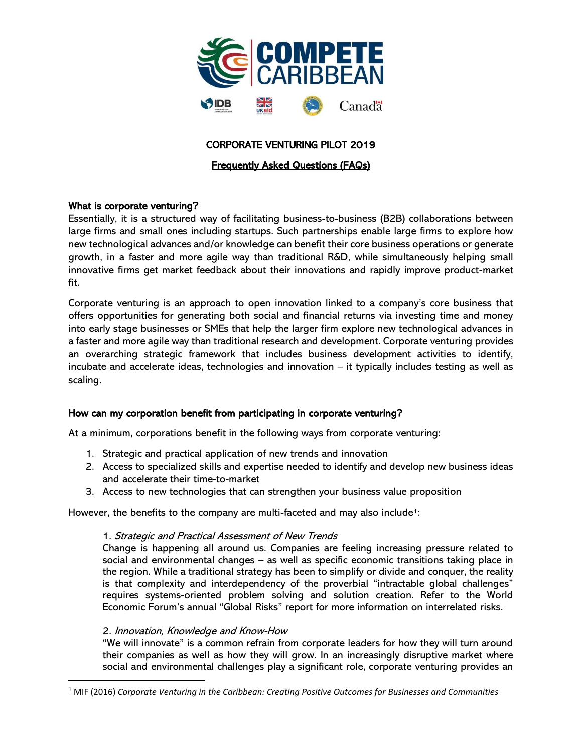

# CORPORATE VENTURING PILOT 2019

Frequently Asked Questions (FAQs)

# What is corporate venturing?

Essentially, it is a structured way of facilitating business-to-business (B2B) collaborations between large firms and small ones including startups. Such partnerships enable large firms to explore how new technological advances and/or knowledge can benefit their core business operations or generate growth, in a faster and more agile way than traditional R&D, while simultaneously helping small innovative firms get market feedback about their innovations and rapidly improve product-market fit.

Corporate venturing is an approach to open innovation linked to a company's core business that offers opportunities for generating both social and financial returns via investing time and money into early stage businesses or SMEs that help the larger firm explore new technological advances in a faster and more agile way than traditional research and development. Corporate venturing provides an overarching strategic framework that includes business development activities to identify, incubate and accelerate ideas, technologies and innovation – it typically includes testing as well as scaling.

# How can my corporation benefit from participating in corporate venturing?

At a minimum, corporations benefit in the following ways from corporate venturing:

- 1. Strategic and practical application of new trends and innovation
- 2. Access to specialized skills and expertise needed to identify and develop new business ideas and accelerate their time-to-market
- 3. Access to new technologies that can strengthen your business value proposition

However, the benefits to the company are multi-faceted and may also include<sup>1</sup>:

# 1. Strategic and Practical Assessment of New Trends

Change is happening all around us. Companies are feeling increasing pressure related to social and environmental changes – as well as specific economic transitions taking place in the region. While a traditional strategy has been to simplify or divide and conquer, the reality is that complexity and interdependency of the proverbial "intractable global challenges" requires systems-oriented problem solving and solution creation. Refer to the World Economic Forum's annual "Global Risks" report for more information on interrelated risks.

# 2. Innovation, Knowledge and Know-How

"We will innovate" is a common refrain from corporate leaders for how they will turn around their companies as well as how they will grow. In an increasingly disruptive market where social and environmental challenges play a significant role, corporate venturing provides an

<sup>1</sup> MIF (2016) *Corporate Venturing in the Caribbean: Creating Positive Outcomes for Businesses and Communities*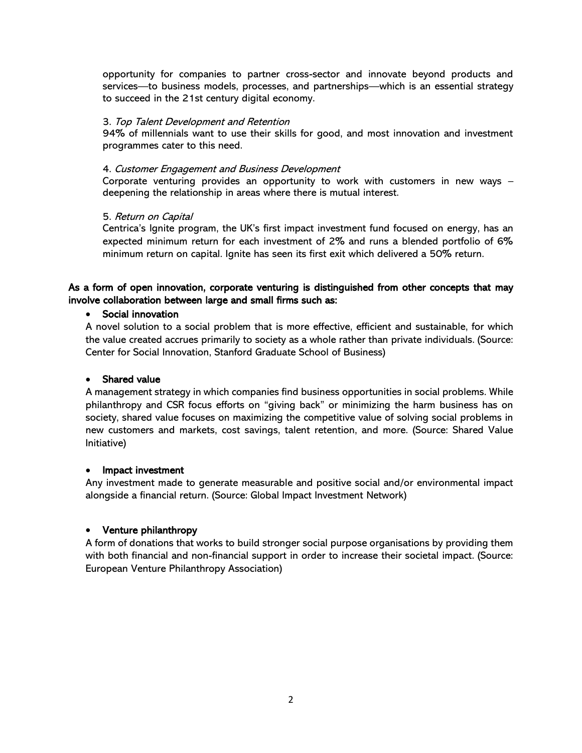opportunity for companies to partner cross-sector and innovate beyond products and services—to business models, processes, and partnerships—which is an essential strategy to succeed in the 21st century digital economy.

#### 3. Top Talent Development and Retention

94% of millennials want to use their skills for good, and most innovation and investment programmes cater to this need.

#### 4. Customer Engagement and Business Development

Corporate venturing provides an opportunity to work with customers in new ways – deepening the relationship in areas where there is mutual interest.

#### 5. Return on Capital

Centrica's Ignite program, the UK's first impact investment fund focused on energy, has an expected minimum return for each investment of 2% and runs a blended portfolio of 6% minimum return on capital. Ignite has seen its first exit which delivered a 50% return.

### As a form of open innovation, corporate venturing is distinguished from other concepts that may involve collaboration between large and small firms such as:

### • Social innovation

A novel solution to a social problem that is more effective, efficient and sustainable, for which the value created accrues primarily to society as a whole rather than private individuals. (Source: Center for Social Innovation, Stanford Graduate School of Business)

#### Shared value

A management strategy in which companies find business opportunities in social problems. While philanthropy and CSR focus efforts on "giving back" or minimizing the harm business has on society, shared value focuses on maximizing the competitive value of solving social problems in new customers and markets, cost savings, talent retention, and more. (Source: Shared Value Initiative)

#### • Impact investment

Any investment made to generate measurable and positive social and/or environmental impact alongside a financial return. (Source: Global Impact Investment Network)

#### • Venture philanthropy

A form of donations that works to build stronger social purpose organisations by providing them with both financial and non-financial support in order to increase their societal impact. (Source: European Venture Philanthropy Association)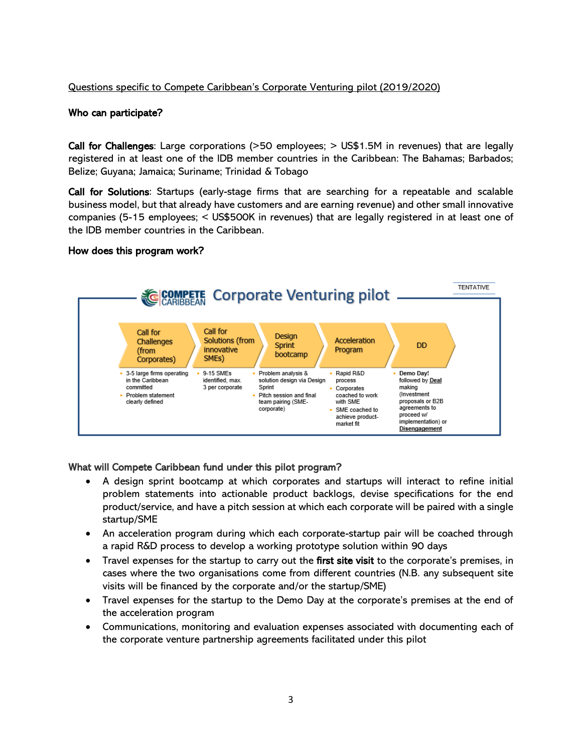### Questions specific to Compete Caribbean's Corporate Venturing pilot (2019/2020)

### Who can participate?

Call for Challenges: Large corporations (>50 employees; > US\$1.5M in revenues) that are legally registered in at least one of the IDB member countries in the Caribbean: The Bahamas; Barbados; Belize; Guyana; Jamaica; Suriname; Trinidad & Tobago

Call for Solutions: Startups (early-stage firms that are searching for a repeatable and scalable business model, but that already have customers and are earning revenue) and other small innovative companies (5-15 employees; < US\$500K in revenues) that are legally registered in at least one of the IDB member countries in the Caribbean.

### How does this program work?



#### What will Compete Caribbean fund under this pilot program?

- A design sprint bootcamp at which corporates and startups will interact to refine initial problem statements into actionable product backlogs, devise specifications for the end product/service, and have a pitch session at which each corporate will be paired with a single startup/SME
- An acceleration program during which each corporate-startup pair will be coached through a rapid R&D process to develop a working prototype solution within 90 days
- Travel expenses for the startup to carry out the first site visit to the corporate's premises, in cases where the two organisations come from different countries (N.B. any subsequent site visits will be financed by the corporate and/or the startup/SME)
- Travel expenses for the startup to the Demo Day at the corporate's premises at the end of the acceleration program
- Communications, monitoring and evaluation expenses associated with documenting each of the corporate venture partnership agreements facilitated under this pilot